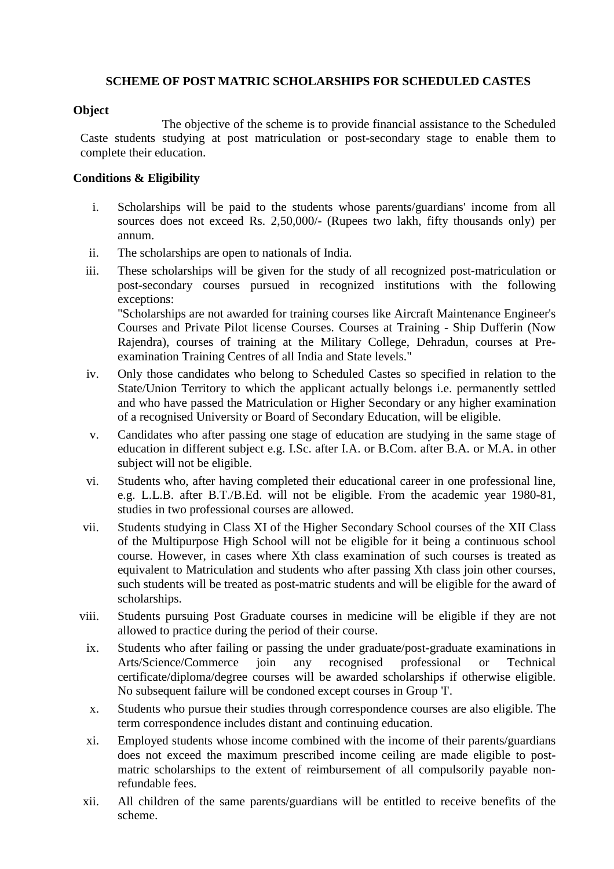## **SCHEME OF POST MATRIC SCHOLARSHIPS FOR SCHEDULED CASTES**

### **Object**

The objective of the scheme is to provide financial assistance to the Scheduled Caste students studying at post matriculation or post-secondary stage to enable them to complete their education.

### **Conditions & Eligibility**

- i. Scholarships will be paid to the students whose parents/guardians' income from all sources does not exceed Rs. 2,50,000/- (Rupees two lakh, fifty thousands only) per annum.
- ii. The scholarships are open to nationals of India.
- iii. These scholarships will be given for the study of all recognized post-matriculation or post-secondary courses pursued in recognized institutions with the following exceptions: "Scholarships are not awarded for training courses like Aircraft Maintenance Engineer's Courses and Private Pilot license Courses. Courses at Training - Ship Dufferin (Now Rajendra), courses of training at the Military College, Dehradun, courses at Preexamination Training Centres of all India and State levels."
- iv. Only those candidates who belong to Scheduled Castes so specified in relation to the State/Union Territory to which the applicant actually belongs i.e. permanently settled and who have passed the Matriculation or Higher Secondary or any higher examination of a recognised University or Board of Secondary Education, will be eligible.
- v. Candidates who after passing one stage of education are studying in the same stage of education in different subject e.g. I.Sc. after I.A. or B.Com. after B.A. or M.A. in other subject will not be eligible.
- vi. Students who, after having completed their educational career in one professional line, e.g. L.L.B. after B.T./B.Ed. will not be eligible. From the academic year 1980-81, studies in two professional courses are allowed.
- vii. Students studying in Class XI of the Higher Secondary School courses of the XII Class of the Multipurpose High School will not be eligible for it being a continuous school course. However, in cases where Xth class examination of such courses is treated as equivalent to Matriculation and students who after passing Xth class join other courses, such students will be treated as post-matric students and will be eligible for the award of scholarships.
- viii. Students pursuing Post Graduate courses in medicine will be eligible if they are not allowed to practice during the period of their course.
- ix. Students who after failing or passing the under graduate/post-graduate examinations in<br>Arts/Science/Commerce ioin any recognised professional or Technical Arts/Science/Commerce join any recognised professional or Technical certificate/diploma/degree courses will be awarded scholarships if otherwise eligible. No subsequent failure will be condoned except courses in Group 'I'.
- x. Students who pursue their studies through correspondence courses are also eligible. The term correspondence includes distant and continuing education.
- xi. Employed students whose income combined with the income of their parents/guardians does not exceed the maximum prescribed income ceiling are made eligible to postmatric scholarships to the extent of reimbursement of all compulsorily payable nonrefundable fees.
- xii. All children of the same parents/guardians will be entitled to receive benefits of the scheme.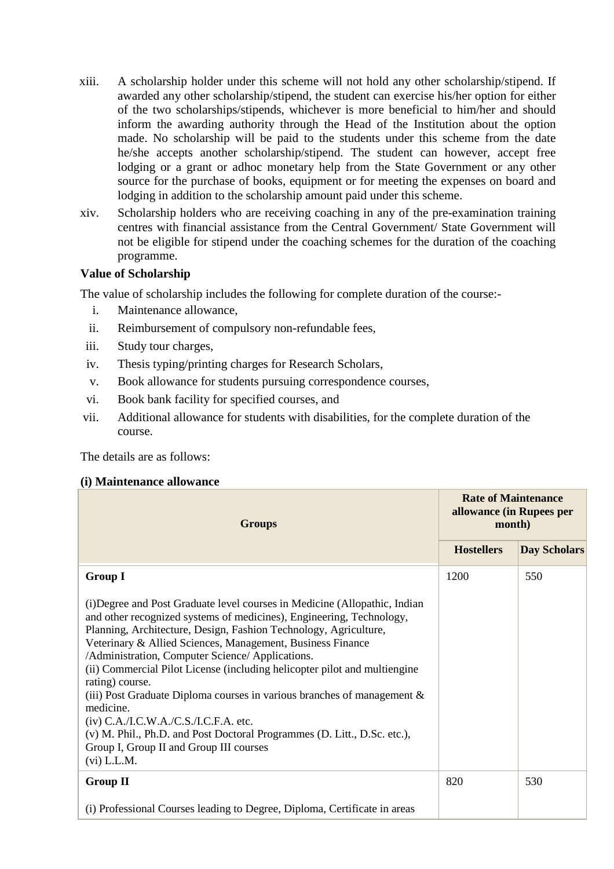- xiii. A scholarship holder under this scheme will not hold any other scholarship/stipend. If awarded any other scholarship/stipend, the student can exercise his/her option for either of the two scholarships/stipends, whichever is more beneficial to him/her and should inform the awarding authority through the Head of the Institution about the option made. No scholarship will be paid to the students under this scheme from the date he/she accepts another scholarship/stipend. The student can however, accept free lodging or a grant or adhoc monetary help from the State Government or any other source for the purchase of books, equipment or for meeting the expenses on board and lodging in addition to the scholarship amount paid under this scheme.
- xiv. Scholarship holders who are receiving coaching in any of the pre-examination training centres with financial assistance from the Central Government/ State Government will not be eligible for stipend under the coaching schemes for the duration of the coaching programme.

## **Value of Scholarship**

The value of scholarship includes the following for complete duration of the course:-

- i. Maintenance allowance,
- ii. Reimbursement of compulsory non-refundable fees,
- iii. Study tour charges,
- iv. Thesis typing/printing charges for Research Scholars,
- v. Book allowance for students pursuing correspondence courses,
- vi. Book bank facility for specified courses, and
- vii. Additional allowance for students with disabilities, for the complete duration of the course.

The details are as follows:

### **(i) Maintenance allowance**

| <b>Groups</b>                                                                                                                                                                                                                                                                                                                                                                                                                                                                                                                                                                                                                                                                                                       | <b>Rate of Maintenance</b><br>allowance (in Rupees per<br>month) |                     |
|---------------------------------------------------------------------------------------------------------------------------------------------------------------------------------------------------------------------------------------------------------------------------------------------------------------------------------------------------------------------------------------------------------------------------------------------------------------------------------------------------------------------------------------------------------------------------------------------------------------------------------------------------------------------------------------------------------------------|------------------------------------------------------------------|---------------------|
|                                                                                                                                                                                                                                                                                                                                                                                                                                                                                                                                                                                                                                                                                                                     | <b>Hostellers</b>                                                | <b>Day Scholars</b> |
| <b>Group I</b>                                                                                                                                                                                                                                                                                                                                                                                                                                                                                                                                                                                                                                                                                                      | 1200                                                             | 550                 |
| (i) Degree and Post Graduate level courses in Medicine (Allopathic, Indian<br>and other recognized systems of medicines), Engineering, Technology,<br>Planning, Architecture, Design, Fashion Technology, Agriculture,<br>Veterinary & Allied Sciences, Management, Business Finance<br>/Administration, Computer Science/ Applications.<br>(ii) Commercial Pilot License (including helicopter pilot and multiengine<br>rating) course.<br>(iii) Post Graduate Diploma courses in various branches of management &<br>medicine.<br>$(iv)$ C.A./I.C.W.A./C.S./I.C.F.A. etc.<br>(v) M. Phil., Ph.D. and Post Doctoral Programmes (D. Litt., D.Sc. etc.),<br>Group I, Group II and Group III courses<br>$(vi)$ L.L.M. |                                                                  |                     |
| <b>Group II</b>                                                                                                                                                                                                                                                                                                                                                                                                                                                                                                                                                                                                                                                                                                     | 820                                                              | 530                 |
| (i) Professional Courses leading to Degree, Diploma, Certificate in areas                                                                                                                                                                                                                                                                                                                                                                                                                                                                                                                                                                                                                                           |                                                                  |                     |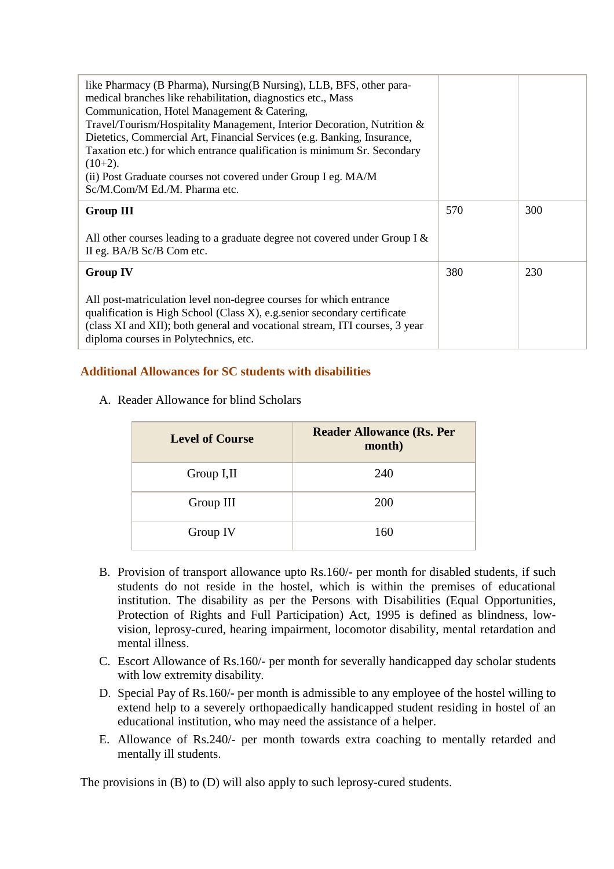| like Pharmacy (B Pharma), Nursing (B Nursing), LLB, BFS, other para-<br>medical branches like rehabilitation, diagnostics etc., Mass<br>Communication, Hotel Management & Catering,<br>Travel/Tourism/Hospitality Management, Interior Decoration, Nutrition &<br>Dietetics, Commercial Art, Financial Services (e.g. Banking, Insurance,<br>Taxation etc.) for which entrance qualification is minimum Sr. Secondary<br>$(10+2)$ .<br>(ii) Post Graduate courses not covered under Group I eg. MA/M<br>Sc/M.Com/M Ed./M. Pharma etc. |     |     |
|---------------------------------------------------------------------------------------------------------------------------------------------------------------------------------------------------------------------------------------------------------------------------------------------------------------------------------------------------------------------------------------------------------------------------------------------------------------------------------------------------------------------------------------|-----|-----|
| <b>Group III</b>                                                                                                                                                                                                                                                                                                                                                                                                                                                                                                                      | 570 | 300 |
| All other courses leading to a graduate degree not covered under Group I $\&$<br>II eg. BA/B Sc/B Com etc.                                                                                                                                                                                                                                                                                                                                                                                                                            |     |     |
| <b>Group IV</b>                                                                                                                                                                                                                                                                                                                                                                                                                                                                                                                       | 380 | 230 |
| All post-matriculation level non-degree courses for which entrance<br>qualification is High School (Class X), e.g. senior secondary certificate<br>(class XI and XII); both general and vocational stream, ITI courses, 3 year<br>diploma courses in Polytechnics, etc.                                                                                                                                                                                                                                                               |     |     |

# **Additional Allowances for SC students with disabilities**

A. Reader Allowance for blind Scholars

| <b>Level of Course</b> | <b>Reader Allowance (Rs. Per</b><br>month) |
|------------------------|--------------------------------------------|
| Group I,II             | 240                                        |
| Group III              | 200                                        |
| Group IV               | 160                                        |

- B. Provision of transport allowance upto Rs.160/- per month for disabled students, if such students do not reside in the hostel, which is within the premises of educational institution. The disability as per the Persons with Disabilities (Equal Opportunities, Protection of Rights and Full Participation) Act, 1995 is defined as blindness, lowvision, leprosy-cured, hearing impairment, locomotor disability, mental retardation and mental illness.
- C. Escort Allowance of Rs.160/- per month for severally handicapped day scholar students with low extremity disability.
- D. Special Pay of Rs.160/- per month is admissible to any employee of the hostel willing to extend help to a severely orthopaedically handicapped student residing in hostel of an educational institution, who may need the assistance of a helper.
- E. Allowance of Rs.240/- per month towards extra coaching to mentally retarded and mentally ill students.

The provisions in (B) to (D) will also apply to such leprosy-cured students.